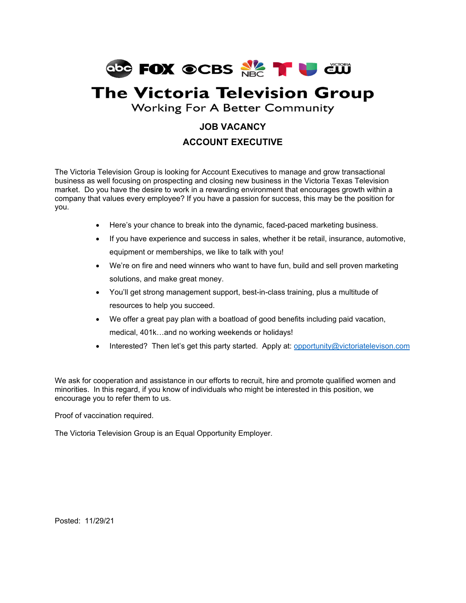

# **The Victoria Television Group**

**Working For A Better Community** 

## **JOB VACANCY ACCOUNT EXECUTIVE**

The Victoria Television Group is looking for Account Executives to manage and grow transactional business as well focusing on prospecting and closing new business in the Victoria Texas Television market. Do you have the desire to work in a rewarding environment that encourages growth within a company that values every employee? If you have a passion for success, this may be the position for you.

- Here's your chance to break into the dynamic, faced-paced marketing business.
- If you have experience and success in sales, whether it be retail, insurance, automotive, equipment or memberships, we like to talk with you!
- We're on fire and need winners who want to have fun, build and sell proven marketing solutions, and make great money.
- You'll get strong management support, best-in-class training, plus a multitude of resources to help you succeed.
- We offer a great pay plan with a boatload of good benefits including paid vacation, medical, 401k…and no working weekends or holidays!
- Interested? Then let's get this party started. Apply at: opportunity@victoriatelevison.com

We ask for cooperation and assistance in our efforts to recruit, hire and promote qualified women and minorities. In this regard, if you know of individuals who might be interested in this position, we encourage you to refer them to us.

Proof of vaccination required.

The Victoria Television Group is an Equal Opportunity Employer.

Posted: 11/29/21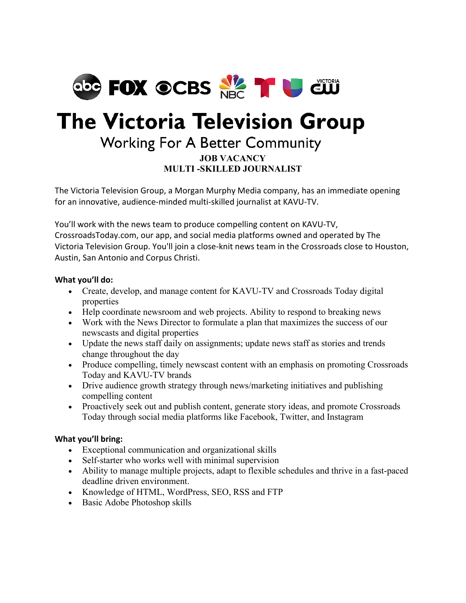

# **The Victoria Television Group**

# **Working For A Better Community**

#### **JOB VACANCY MULTI -SKILLED JOURNALIST**

The Victoria Television Group, a Morgan Murphy Media company, has an immediate opening for an innovative, audience-minded multi-skilled journalist at KAVU-TV.

You'll work with the news team to produce compelling content on KAVU-TV, CrossroadsToday.com, our app, and social media platforms owned and operated by The Victoria Television Group. You'll join a close-knit news team in the Crossroads close to Houston, Austin, San Antonio and Corpus Christi.

#### **What you'll do:**

- Create, develop, and manage content for KAVU-TV and Crossroads Today digital properties
- Help coordinate newsroom and web projects. Ability to respond to breaking news
- Work with the News Director to formulate a plan that maximizes the success of our newscasts and digital properties
- Update the news staff daily on assignments; update news staff as stories and trends change throughout the day
- Produce compelling, timely newscast content with an emphasis on promoting Crossroads Today and KAVU-TV brands
- Drive audience growth strategy through news/marketing initiatives and publishing compelling content
- Proactively seek out and publish content, generate story ideas, and promote Crossroads Today through social media platforms like Facebook, Twitter, and Instagram

#### **What you'll bring:**

- Exceptional communication and organizational skills
- Self-starter who works well with minimal supervision
- Ability to manage multiple projects, adapt to flexible schedules and thrive in a fast-paced deadline driven environment.
- Knowledge of HTML, WordPress, SEO, RSS and FTP
- Basic Adobe Photoshop skills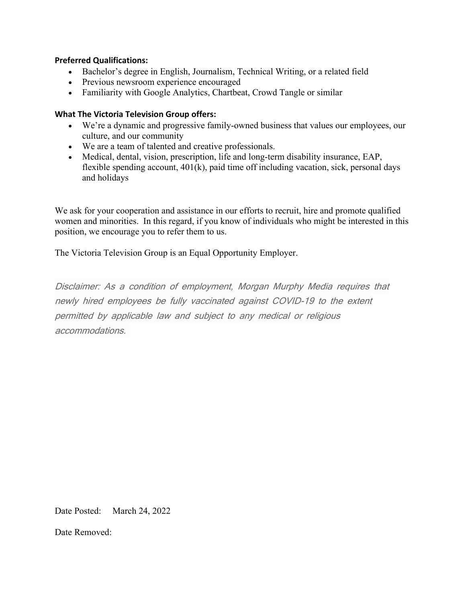#### **Preferred Qualifications:**

- Bachelor's degree in English, Journalism, Technical Writing, or a related field
- Previous newsroom experience encouraged
- Familiarity with Google Analytics, Chartbeat, Crowd Tangle or similar

#### **What The Victoria Television Group offers:**

- We're a dynamic and progressive family-owned business that values our employees, our culture, and our community
- We are a team of talented and creative professionals.
- Medical, dental, vision, prescription, life and long-term disability insurance, EAP, flexible spending account, 401(k), paid time off including vacation, sick, personal days and holidays

We ask for your cooperation and assistance in our efforts to recruit, hire and promote qualified women and minorities. In this regard, if you know of individuals who might be interested in this position, we encourage you to refer them to us.

The Victoria Television Group is an Equal Opportunity Employer.

Disclaimer: As a condition of employment, Morgan Murphy Media requires that newly hired employees be fully vaccinated against COVID-19 to the extent permitted by applicable law and subject to any medical or religious accommodations.

Date Posted: March 24, 2022

Date Removed: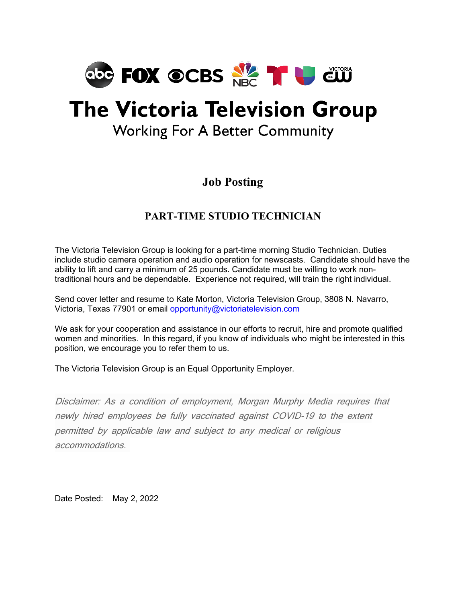

# **The Victoria Television Group**

## **Working For A Better Community**

## **Job Posting**

## **PART-TIME STUDIO TECHNICIAN**

The Victoria Television Group is looking for a part-time morning Studio Technician. Duties include studio camera operation and audio operation for newscasts. Candidate should have the ability to lift and carry a minimum of 25 pounds. Candidate must be willing to work nontraditional hours and be dependable. Experience not required, will train the right individual.

Send cover letter and resume to Kate Morton, Victoria Television Group, 3808 N. Navarro, Victoria, Texas 77901 or email [opportunity@victoriatelevision.com](mailto:opportunity@victoriatelevision.com)

We ask for your cooperation and assistance in our efforts to recruit, hire and promote qualified women and minorities. In this regard, if you know of individuals who might be interested in this position, we encourage you to refer them to us.

The Victoria Television Group is an Equal Opportunity Employer.

Disclaimer: As a condition of employment, Morgan Murphy Media requires that newly hired employees be fully vaccinated against COVID-19 to the extent permitted by applicable law and subject to any medical or religious accommodations.

Date Posted: May 2, 2022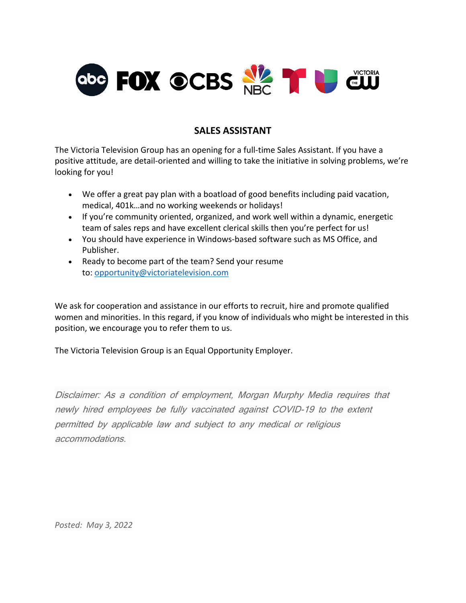

#### **SALES ASSISTANT**

The Victoria Television Group has an opening for a full-time Sales Assistant. If you have a positive attitude, are detail-oriented and willing to take the initiative in solving problems, we're looking for you!

- We offer a great pay plan with a boatload of good benefits including paid vacation, medical, 401k…and no working weekends or holidays!
- If you're community oriented, organized, and work well within a dynamic, energetic team of sales reps and have excellent clerical skills then you're perfect for us!
- You should have experience in Windows-based software such as MS Office, and Publisher.
- Ready to become part of the team? Send your resume to: [opportunity@victoriatelevision.com](mailto:opportunity@victoriatelevision.com)

We ask for cooperation and assistance in our efforts to recruit, hire and promote qualified women and minorities. In this regard, if you know of individuals who might be interested in this position, we encourage you to refer them to us.

The Victoria Television Group is an Equal Opportunity Employer.

Disclaimer: As a condition of employment, Morgan Murphy Media requires that newly hired employees be fully vaccinated against COVID-19 to the extent permitted by applicable law and subject to any medical or religious accommodations.

*Posted: May 3, 2022*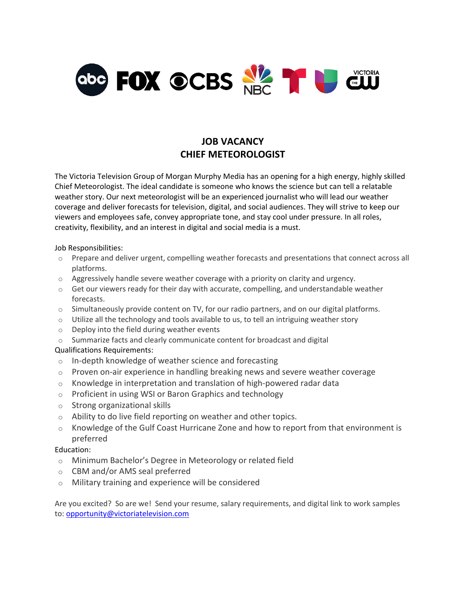

### **JOB VACANCY CHIEF METEOROLOGIST**

The Victoria Television Group of Morgan Murphy Media has an opening for a high energy, highly skilled Chief Meteorologist. The ideal candidate is someone who knows the science but can tell a relatable weather story. Our next meteorologist will be an experienced journalist who will lead our weather coverage and deliver forecasts for television, digital, and social audiences. They will strive to keep our viewers and employees safe, convey appropriate tone, and stay cool under pressure. In all roles, creativity, flexibility, and an interest in digital and social media is a must.

Job Responsibilities:

- o Prepare and deliver urgent, compelling weather forecasts and presentations that connect across all platforms.
- $\circ$  Aggressively handle severe weather coverage with a priority on clarity and urgency.
- o Get our viewers ready for their day with accurate, compelling, and understandable weather forecasts.
- $\circ$  Simultaneously provide content on TV, for our radio partners, and on our digital platforms.
- $\circ$  Utilize all the technology and tools available to us, to tell an intriguing weather story
- $\circ$  Deploy into the field during weather events
- o Summarize facts and clearly communicate content for broadcast and digital

Qualifications Requirements:

- o In-depth knowledge of weather science and forecasting
- $\circ$  Proven on-air experience in handling breaking news and severe weather coverage
- o Knowledge in interpretation and translation of high-powered radar data
- o Proficient in using WSI or Baron Graphics and technology
- o Strong organizational skills
- o Ability to do live field reporting on weather and other topics.
- $\circ$  Knowledge of the Gulf Coast Hurricane Zone and how to report from that environment is preferred

#### Education:

- o Minimum Bachelor's Degree in Meteorology or related field
- o CBM and/or AMS seal preferred
- o Military training and experience will be considered

Are you excited? So are we! Send your resume, salary requirements, and digital link to work samples to: [opportunity@victoriatelevision.com](mailto:opportunity@victoriatelevision.com)